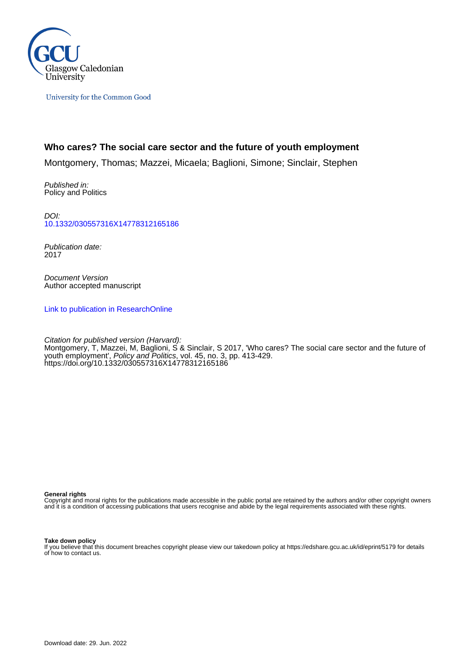

University for the Common Good

# **Who cares? The social care sector and the future of youth employment**

Montgomery, Thomas; Mazzei, Micaela; Baglioni, Simone; Sinclair, Stephen

Published in: Policy and Politics

DOI: [10.1332/030557316X14778312165186](https://doi.org/10.1332/030557316X14778312165186)

Publication date: 2017

Document Version Author accepted manuscript

[Link to publication in ResearchOnline](https://researchonline.gcu.ac.uk/en/publications/e2fc8625-3c8e-4022-a21a-2bc729ae1a2d)

Citation for published version (Harvard): Montgomery, T, Mazzei, M, Baglioni, S & Sinclair, S 2017, 'Who cares? The social care sector and the future of youth employment', *Policy and Politics*, vol. 45, no. 3, pp. 413-429. <https://doi.org/10.1332/030557316X14778312165186>

**General rights**

Copyright and moral rights for the publications made accessible in the public portal are retained by the authors and/or other copyright owners and it is a condition of accessing publications that users recognise and abide by the legal requirements associated with these rights.

#### **Take down policy**

If you believe that this document breaches copyright please view our takedown policy at https://edshare.gcu.ac.uk/id/eprint/5179 for details of how to contact us.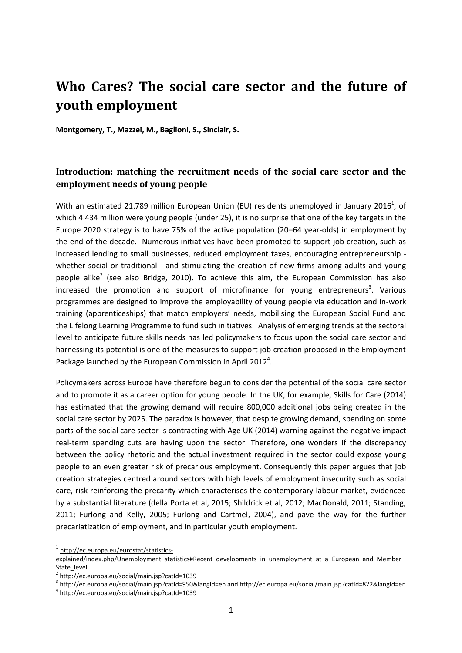# **Who Cares? The social care sector and the future of youth employment**

**Montgomery, T., Mazzei, M., Baglioni, S., Sinclair, S.**

# **Introduction: matching the recruitment needs of the social care sector and the employment needs of young people**

With an estimated 21.789 million European Union (EU) residents unemployed in January 2016<sup>1</sup>, of which 4.434 million were young people (under 25), it is no surprise that one of the key targets in the Europe 2020 strategy is to have 75% of the active population (20–64 year-olds) in employment by the end of the decade. Numerous initiatives have been promoted to support job creation, such as increased lending to small businesses, reduced employment taxes, encouraging entrepreneurship whether social or traditional - and stimulating the creation of new firms among adults and young people alike<sup>2</sup> (see also Bridge, 2010). To achieve this aim, the European Commission has also increased the promotion and support of microfinance for young entrepreneurs<sup>3</sup>. Various programmes are designed to improve the employability of young people via education and in-work training (apprenticeships) that match employers' needs, mobilising the European Social Fund and the Lifelong Learning Programme to fund such initiatives. Analysis of emerging trends at the sectoral level to anticipate future skills needs has led policymakers to focus upon the social care sector and harnessing its potential is one of the measures to support job creation proposed in the Employment Package launched by the European Commission in April 2012<sup>4</sup>.

Policymakers across Europe have therefore begun to consider the potential of the social care sector and to promote it as a career option for young people. In the UK, for example, Skills for Care (2014) has estimated that the growing demand will require 800,000 additional jobs being created in the social care sector by 2025. The paradox is however, that despite growing demand, spending on some parts of the social care sector is contracting with Age UK (2014) warning against the negative impact real-term spending cuts are having upon the sector. Therefore, one wonders if the discrepancy between the policy rhetoric and the actual investment required in the sector could expose young people to an even greater risk of precarious employment. Consequently this paper argues that job creation strategies centred around sectors with high levels of employment insecurity such as social care, risk reinforcing the precarity which characterises the contemporary labour market, evidenced by a substantial literature (della Porta et al, 2015; Shildrick et al, 2012; MacDonald, 2011; Standing, 2011; Furlong and Kelly, 2005; Furlong and Cartmel, 2004), and pave the way for the further precariatization of employment, and in particular youth employment.

<sup>&</sup>lt;sup>1</sup> [http://ec.europa.eu/eurostat/statistics-](http://ec.europa.eu/eurostat/statistics-explained/index.php/Unemployment_statistics#Recent_developments_in_unemployment_at_a_European_and_Member_State_level)

explained/index.php/Unemployment statistics#Recent developments in unemployment at a European and Member [State\\_level](http://ec.europa.eu/eurostat/statistics-explained/index.php/Unemployment_statistics#Recent_developments_in_unemployment_at_a_European_and_Member_State_level)

<sup>2</sup> <http://ec.europa.eu/social/main.jsp?catId=1039>

<sup>&</sup>lt;sup>3</sup> <http://ec.europa.eu/social/main.jsp?catId=950&langId=en> and<http://ec.europa.eu/social/main.jsp?catId=822&langId=en>

<sup>4</sup> <http://ec.europa.eu/social/main.jsp?catId=1039>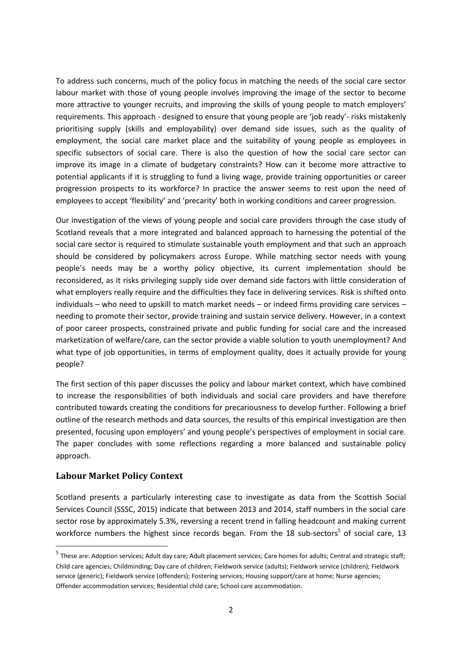To address such concerns, much of the policy focus in matching the needs of the social care sector labour market with those of young people involves improving the image of the sector to become more attractive to younger recruits, and improving the skills of young people to match employers' requirements. This approach - designed to ensure that young people are 'job ready'- risks mistakenly prioritising supply (skills and employability) over demand side issues, such as the quality of employment, the social care market place and the suitability of young people as employees in specific subsectors of social care. There is also the question of how the social care sector can improve its image in a climate of budgetary constraints? How can it become more attractive to potential applicants if it is struggling to fund a living wage, provide training opportunities or career progression prospects to its workforce? In practice the answer seems to rest upon the need of employees to accept 'flexibility' and 'precarity' both in working conditions and career progression.

Our investigation of the views of young people and social care providers through the case study of Scotland reveals that a more integrated and balanced approach to harnessing the potential of the social care sector is required to stimulate sustainable youth employment and that such an approach should be considered by policymakers across Europe. While matching sector needs with young people's needs may be a worthy policy objective, its current implementation should be reconsidered, as it risks privileging supply side over demand side factors with little consideration of what employers really require and the difficulties they face in delivering services. Risk is shifted onto individuals – who need to upskill to match market needs – or indeed firms providing care services – needing to promote their sector, provide training and sustain service delivery. However, in a context of poor career prospects, constrained private and public funding for social care and the increased marketization of welfare/care, can the sector provide a viable solution to youth unemployment? And what type of job opportunities, in terms of employment quality, does it actually provide for young people?

The first section of this paper discusses the policy and labour market context, which have combined to increase the responsibilities of both individuals and social care providers and have therefore contributed towards creating the conditions for precariousness to develop further. Following a brief outline of the research methods and data sources, the results of this empirical investigation are then presented, focusing upon employers' and young people's perspectives of employment in social care. The paper concludes with some reflections regarding a more balanced and sustainable policy approach.

# **Labour Market Policy Context**

1

Scotland presents a particularly interesting case to investigate as data from the Scottish Social Services Council (SSSC, 2015) indicate that between 2013 and 2014, staff numbers in the social care sector rose by approximately 5.3%, reversing a recent trend in falling headcount and making current workforce numbers the highest since records began. From the 18 sub-sectors<sup>5</sup> of social care, 13

<sup>&</sup>lt;sup>5</sup> These are: Adoption services; Adult day care; Adult placement services; Care homes for adults; Central and strategic staff; Child care agencies; Childminding; Day care of children; Fieldwork service (adults); Fieldwork service (children); Fieldwork service (generic); Fieldwork service (offenders); Fostering services; Housing support/care at home; Nurse agencies; Offender accommodation services; Residential child care; School care accommodation.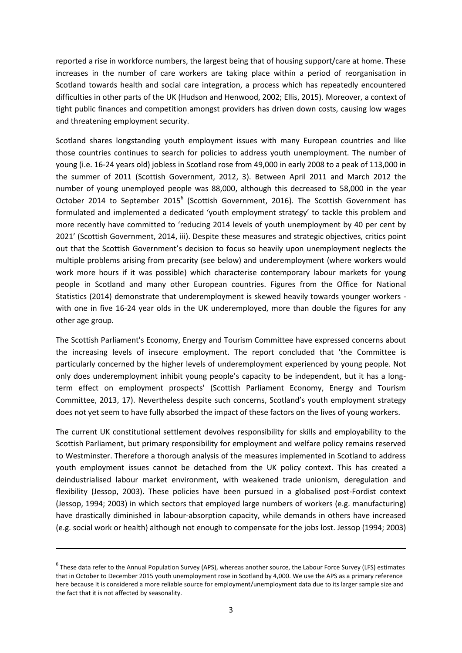reported a rise in workforce numbers, the largest being that of housing support/care at home. These increases in the number of care workers are taking place within a period of reorganisation in Scotland towards health and social care integration, a process which has repeatedly encountered difficulties in other parts of the UK (Hudson and Henwood, 2002; Ellis, 2015). Moreover, a context of tight public finances and competition amongst providers has driven down costs, causing low wages and threatening employment security.

Scotland shares longstanding youth employment issues with many European countries and like those countries continues to search for policies to address youth unemployment. The number of young (i.e. 16-24 years old) jobless in Scotland rose from 49,000 in early 2008 to a peak of 113,000 in the summer of 2011 (Scottish Government, 2012, 3). Between April 2011 and March 2012 the number of young unemployed people was 88,000, although this decreased to 58,000 in the year October 2014 to September 2015<sup>6</sup> (Scottish Government, 2016). The Scottish Government has formulated and implemented a dedicated 'youth employment strategy' to tackle this problem and more recently have committed to 'reducing 2014 levels of youth unemployment by 40 per cent by 2021' (Scottish Government, 2014, iii). Despite these measures and strategic objectives, critics point out that the Scottish Government's decision to focus so heavily upon unemployment neglects the multiple problems arising from precarity (see below) and underemployment (where workers would work more hours if it was possible) which characterise contemporary labour markets for young people in Scotland and many other European countries. Figures from the Office for National Statistics (2014) demonstrate that underemployment is skewed heavily towards younger workers with one in five 16-24 year olds in the UK underemployed, more than double the figures for any other age group.

The Scottish Parliament's Economy, Energy and Tourism Committee have expressed concerns about the increasing levels of insecure employment. The report concluded that 'the Committee is particularly concerned by the higher levels of underemployment experienced by young people. Not only does underemployment inhibit young people's capacity to be independent, but it has a longterm effect on employment prospects' (Scottish Parliament Economy, Energy and Tourism Committee, 2013, 17). Nevertheless despite such concerns, Scotland's youth employment strategy does not yet seem to have fully absorbed the impact of these factors on the lives of young workers.

The current UK constitutional settlement devolves responsibility for skills and employability to the Scottish Parliament, but primary responsibility for employment and welfare policy remains reserved to Westminster. Therefore a thorough analysis of the measures implemented in Scotland to address youth employment issues cannot be detached from the UK policy context. This has created a deindustrialised labour market environment, with weakened trade unionism, deregulation and flexibility (Jessop, 2003). These policies have been pursued in a globalised post-Fordist context (Jessop, 1994; 2003) in which sectors that employed large numbers of workers (e.g. manufacturing) have drastically diminished in labour-absorption capacity, while demands in others have increased (e.g. social work or health) although not enough to compensate for the jobs lost. Jessop (1994; 2003)

1

<sup>6</sup> These data refer to the Annual Population Survey (APS), whereas another source, the Labour Force Survey (LFS) estimates that in October to December 2015 youth unemployment rose in Scotland by 4,000. We use the APS as a primary reference here because it is considered a more reliable source for employment/unemployment data due to its larger sample size and the fact that it is not affected by seasonality.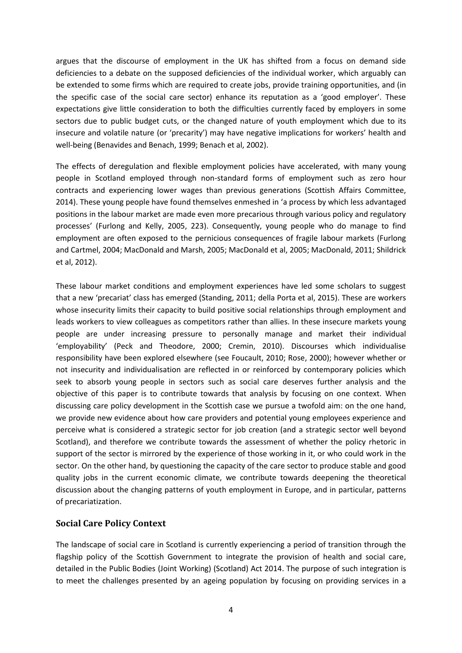argues that the discourse of employment in the UK has shifted from a focus on demand side deficiencies to a debate on the supposed deficiencies of the individual worker, which arguably can be extended to some firms which are required to create jobs, provide training opportunities, and (in the specific case of the social care sector) enhance its reputation as a 'good employer'. These expectations give little consideration to both the difficulties currently faced by employers in some sectors due to public budget cuts, or the changed nature of youth employment which due to its insecure and volatile nature (or 'precarity') may have negative implications for workers' health and well-being (Benavides and Benach, 1999; Benach et al, 2002).

The effects of deregulation and flexible employment policies have accelerated, with many young people in Scotland employed through non-standard forms of employment such as zero hour contracts and experiencing lower wages than previous generations (Scottish Affairs Committee, 2014). These young people have found themselves enmeshed in 'a process by which less advantaged positions in the labour market are made even more precarious through various policy and regulatory processes' (Furlong and Kelly, 2005, 223). Consequently, young people who do manage to find employment are often exposed to the pernicious consequences of fragile labour markets (Furlong and Cartmel, 2004; MacDonald and Marsh, 2005; MacDonald et al, 2005; MacDonald, 2011; Shildrick et al, 2012).

These labour market conditions and employment experiences have led some scholars to suggest that a new 'precariat' class has emerged (Standing, 2011; della Porta et al, 2015). These are workers whose insecurity limits their capacity to build positive social relationships through employment and leads workers to view colleagues as competitors rather than allies. In these insecure markets young people are under increasing pressure to personally manage and market their individual 'employability' (Peck and Theodore, 2000; Cremin, 2010). Discourses which individualise responsibility have been explored elsewhere (see Foucault, 2010; Rose, 2000); however whether or not insecurity and individualisation are reflected in or reinforced by contemporary policies which seek to absorb young people in sectors such as social care deserves further analysis and the objective of this paper is to contribute towards that analysis by focusing on one context. When discussing care policy development in the Scottish case we pursue a twofold aim: on the one hand, we provide new evidence about how care providers and potential young employees experience and perceive what is considered a strategic sector for job creation (and a strategic sector well beyond Scotland), and therefore we contribute towards the assessment of whether the policy rhetoric in support of the sector is mirrored by the experience of those working in it, or who could work in the sector. On the other hand, by questioning the capacity of the care sector to produce stable and good quality jobs in the current economic climate, we contribute towards deepening the theoretical discussion about the changing patterns of youth employment in Europe, and in particular, patterns of precariatization.

## **Social Care Policy Context**

The landscape of social care in Scotland is currently experiencing a period of transition through the flagship policy of the Scottish Government to integrate the provision of health and social care, detailed in the Public Bodies (Joint Working) (Scotland) Act 2014. The purpose of such integration is to meet the challenges presented by an ageing population by focusing on providing services in a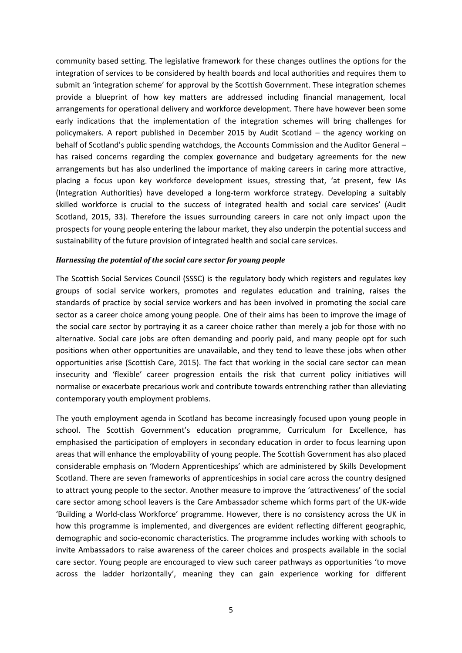community based setting. The legislative framework for these changes outlines the options for the integration of services to be considered by health boards and local authorities and requires them to submit an 'integration scheme' for approval by the Scottish Government. These integration schemes provide a blueprint of how key matters are addressed including financial management, local arrangements for operational delivery and workforce development. There have however been some early indications that the implementation of the integration schemes will bring challenges for policymakers. A report published in December 2015 by Audit Scotland – the agency working on behalf of Scotland's public spending watchdogs, the Accounts Commission and the Auditor General – has raised concerns regarding the complex governance and budgetary agreements for the new arrangements but has also underlined the importance of making careers in caring more attractive, placing a focus upon key workforce development issues, stressing that, 'at present, few IAs (Integration Authorities) have developed a long-term workforce strategy. Developing a suitably skilled workforce is crucial to the success of integrated health and social care services' (Audit Scotland, 2015, 33). Therefore the issues surrounding careers in care not only impact upon the prospects for young people entering the labour market, they also underpin the potential success and sustainability of the future provision of integrated health and social care services.

#### *Harnessing the potential of the social care sector for young people*

The Scottish Social Services Council (SSSC) is the regulatory body which registers and regulates key groups of social service workers, promotes and regulates education and training, raises the standards of practice by social service workers and has been involved in promoting the social care sector as a career choice among young people. One of their aims has been to improve the image of the social care sector by portraying it as a career choice rather than merely a job for those with no alternative. Social care jobs are often demanding and poorly paid, and many people opt for such positions when other opportunities are unavailable, and they tend to leave these jobs when other opportunities arise (Scottish Care, 2015). The fact that working in the social care sector can mean insecurity and 'flexible' career progression entails the risk that current policy initiatives will normalise or exacerbate precarious work and contribute towards entrenching rather than alleviating contemporary youth employment problems.

The youth employment agenda in Scotland has become increasingly focused upon young people in school. The Scottish Government's education programme, Curriculum for Excellence, has emphasised the participation of employers in secondary education in order to focus learning upon areas that will enhance the employability of young people. The Scottish Government has also placed considerable emphasis on 'Modern Apprenticeships' which are administered by Skills Development Scotland. There are seven frameworks of apprenticeships in social care across the country designed to attract young people to the sector. Another measure to improve the 'attractiveness' of the social care sector among school leavers is the Care Ambassador scheme which forms part of the UK-wide 'Building a World-class Workforce' programme. However, there is no consistency across the UK in how this programme is implemented, and divergences are evident reflecting different geographic, demographic and socio-economic characteristics. The programme includes working with schools to invite Ambassadors to raise awareness of the career choices and prospects available in the social care sector. Young people are encouraged to view such career pathways as opportunities 'to move across the ladder horizontally', meaning they can gain experience working for different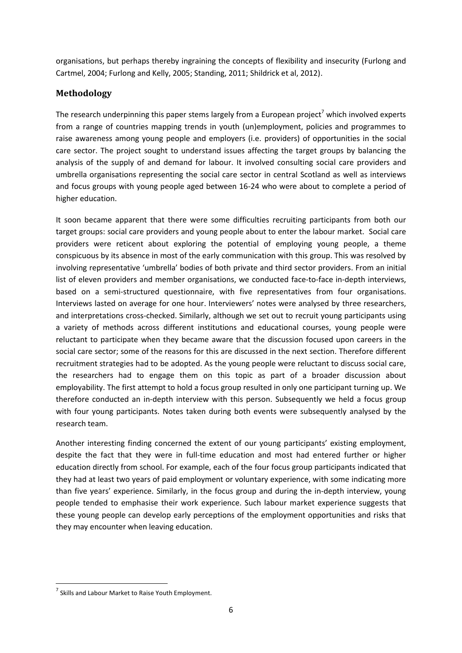organisations, but perhaps thereby ingraining the concepts of flexibility and insecurity (Furlong and Cartmel, 2004; Furlong and Kelly, 2005; Standing, 2011; Shildrick et al, 2012).

# **Methodology**

The research underpinning this paper stems largely from a European project<sup>7</sup> which involved experts from a range of countries mapping trends in youth (un)employment, policies and programmes to raise awareness among young people and employers (i.e. providers) of opportunities in the social care sector. The project sought to understand issues affecting the target groups by balancing the analysis of the supply of and demand for labour. It involved consulting social care providers and umbrella organisations representing the social care sector in central Scotland as well as interviews and focus groups with young people aged between 16-24 who were about to complete a period of higher education.

It soon became apparent that there were some difficulties recruiting participants from both our target groups: social care providers and young people about to enter the labour market. Social care providers were reticent about exploring the potential of employing young people, a theme conspicuous by its absence in most of the early communication with this group. This was resolved by involving representative 'umbrella' bodies of both private and third sector providers. From an initial list of eleven providers and member organisations, we conducted face-to-face in-depth interviews, based on a semi-structured questionnaire, with five representatives from four organisations. Interviews lasted on average for one hour. Interviewers' notes were analysed by three researchers, and interpretations cross-checked. Similarly, although we set out to recruit young participants using a variety of methods across different institutions and educational courses, young people were reluctant to participate when they became aware that the discussion focused upon careers in the social care sector; some of the reasons for this are discussed in the next section. Therefore different recruitment strategies had to be adopted. As the young people were reluctant to discuss social care, the researchers had to engage them on this topic as part of a broader discussion about employability. The first attempt to hold a focus group resulted in only one participant turning up. We therefore conducted an in-depth interview with this person. Subsequently we held a focus group with four young participants. Notes taken during both events were subsequently analysed by the research team.

Another interesting finding concerned the extent of our young participants' existing employment, despite the fact that they were in full-time education and most had entered further or higher education directly from school. For example, each of the four focus group participants indicated that they had at least two years of paid employment or voluntary experience, with some indicating more than five years' experience. Similarly, in the focus group and during the in-depth interview, young people tended to emphasise their work experience. Such labour market experience suggests that these young people can develop early perceptions of the employment opportunities and risks that they may encounter when leaving education.

<sup>&</sup>lt;sup>7</sup> Skills and Labour Market to Raise Youth Employment.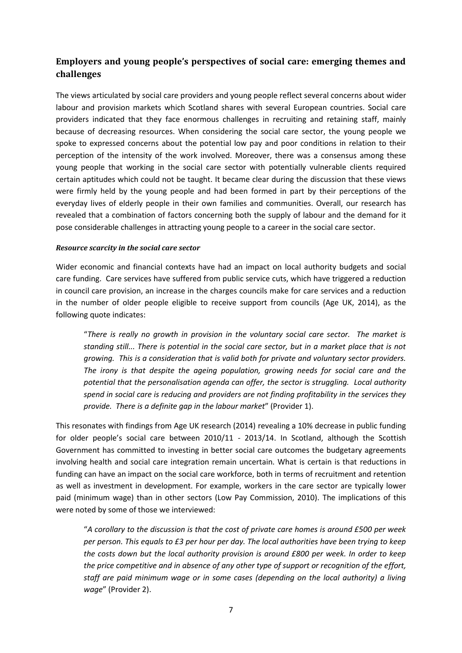# **Employers and young people's perspectives of social care: emerging themes and challenges**

The views articulated by social care providers and young people reflect several concerns about wider labour and provision markets which Scotland shares with several European countries. Social care providers indicated that they face enormous challenges in recruiting and retaining staff, mainly because of decreasing resources. When considering the social care sector, the young people we spoke to expressed concerns about the potential low pay and poor conditions in relation to their perception of the intensity of the work involved. Moreover, there was a consensus among these young people that working in the social care sector with potentially vulnerable clients required certain aptitudes which could not be taught. It became clear during the discussion that these views were firmly held by the young people and had been formed in part by their perceptions of the everyday lives of elderly people in their own families and communities. Overall, our research has revealed that a combination of factors concerning both the supply of labour and the demand for it pose considerable challenges in attracting young people to a career in the social care sector.

### *Resource scarcity in the social care sector*

Wider economic and financial contexts have had an impact on local authority budgets and social care funding. Care services have suffered from public service cuts, which have triggered a reduction in council care provision, an increase in the charges councils make for care services and a reduction in the number of older people eligible to receive support from councils (Age UK, 2014), as the following quote indicates:

"*There is really no growth in provision in the voluntary social care sector. The market is standing still... There is potential in the social care sector, but in a market place that is not growing. This is a consideration that is valid both for private and voluntary sector providers. The irony is that despite the ageing population, growing needs for social care and the potential that the personalisation agenda can offer, the sector is struggling. Local authority spend in social care is reducing and providers are not finding profitability in the services they provide. There is a definite gap in the labour market*" (Provider 1).

This resonates with findings from Age UK research (2014) revealing a 10% decrease in public funding for older people's social care between 2010/11 - 2013/14. In Scotland, although the Scottish Government has committed to investing in better social care outcomes the budgetary agreements involving health and social care integration remain uncertain. What is certain is that reductions in funding can have an impact on the social care workforce, both in terms of recruitment and retention as well as investment in development. For example, workers in the care sector are typically lower paid (minimum wage) than in other sectors (Low Pay Commission, 2010). The implications of this were noted by some of those we interviewed:

"*A corollary to the discussion is that the cost of private care homes is around £500 per week per person. This equals to £3 per hour per day. The local authorities have been trying to keep the costs down but the local authority provision is around £800 per week. In order to keep the price competitive and in absence of any other type of support or recognition of the effort, staff are paid minimum wage or in some cases (depending on the local authority) a living wage*" (Provider 2).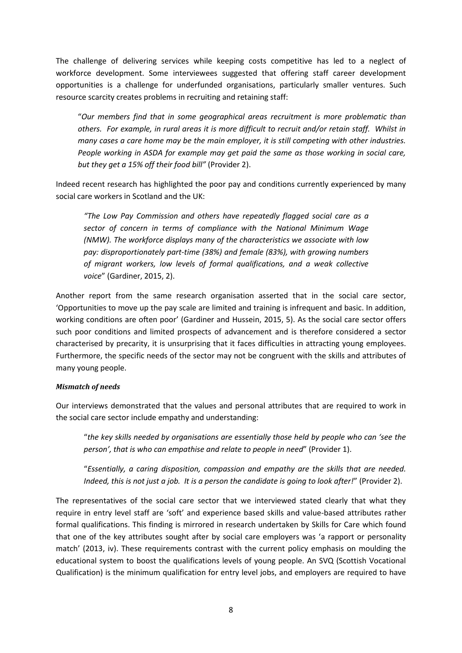The challenge of delivering services while keeping costs competitive has led to a neglect of workforce development. Some interviewees suggested that offering staff career development opportunities is a challenge for underfunded organisations, particularly smaller ventures. Such resource scarcity creates problems in recruiting and retaining staff:

"*Our members find that in some geographical areas recruitment is more problematic than others. For example, in rural areas it is more difficult to recruit and/or retain staff. Whilst in many cases a care home may be the main employer, it is still competing with other industries. People working in ASDA for example may get paid the same as those working in social care, but they get a 15% off their food bill"* (Provider 2).

Indeed recent research has highlighted the poor pay and conditions currently experienced by many social care workers in Scotland and the UK:

*"The Low Pay Commission and others have repeatedly flagged social care as a sector of concern in terms of compliance with the National Minimum Wage (NMW). The workforce displays many of the characteristics we associate with low pay: disproportionately part-time (38%) and female (83%), with growing numbers of migrant workers, low levels of formal qualifications, and a weak collective voice*" (Gardiner, 2015, 2).

Another report from the same research organisation asserted that in the social care sector, 'Opportunities to move up the pay scale are limited and training is infrequent and basic. In addition, working conditions are often poor' (Gardiner and Hussein, 2015, 5). As the social care sector offers such poor conditions and limited prospects of advancement and is therefore considered a sector characterised by precarity, it is unsurprising that it faces difficulties in attracting young employees. Furthermore, the specific needs of the sector may not be congruent with the skills and attributes of many young people.

### *Mismatch of needs*

Our interviews demonstrated that the values and personal attributes that are required to work in the social care sector include empathy and understanding:

"*the key skills needed by organisations are essentially those held by people who can 'see the person', that is who can empathise and relate to people in need*" (Provider 1).

"*Essentially, a caring disposition, compassion and empathy are the skills that are needed. Indeed, this is not just a job. It is a person the candidate is going to look after!*" (Provider 2).

The representatives of the social care sector that we interviewed stated clearly that what they require in entry level staff are 'soft' and experience based skills and value-based attributes rather formal qualifications. This finding is mirrored in research undertaken by Skills for Care which found that one of the key attributes sought after by social care employers was 'a rapport or personality match' (2013, iv). These requirements contrast with the current policy emphasis on moulding the educational system to boost the qualifications levels of young people. An SVQ (Scottish Vocational Qualification) is the minimum qualification for entry level jobs, and employers are required to have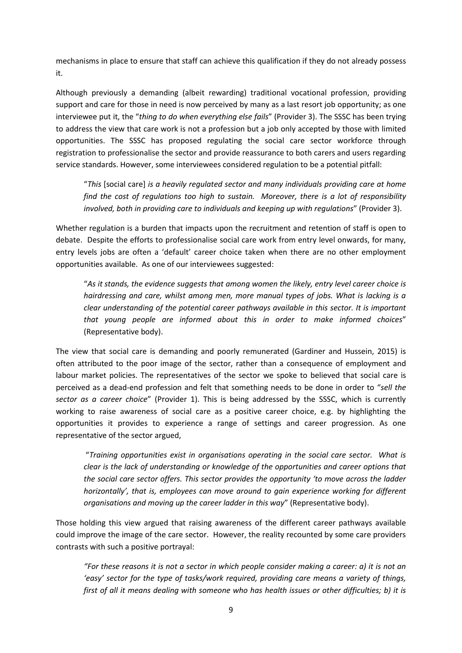mechanisms in place to ensure that staff can achieve this qualification if they do not already possess it.

Although previously a demanding (albeit rewarding) traditional vocational profession, providing support and care for those in need is now perceived by many as a last resort job opportunity; as one interviewee put it, the "*thing to do when everything else fails*" (Provider 3). The SSSC has been trying to address the view that care work is not a profession but a job only accepted by those with limited opportunities. The SSSC has proposed regulating the social care sector workforce through registration to professionalise the sector and provide reassurance to both carers and users regarding service standards. However, some interviewees considered regulation to be a potential pitfall:

"*This* [social care] *is a heavily regulated sector and many individuals providing care at home find the cost of regulations too high to sustain. Moreover, there is a lot of responsibility involved, both in providing care to individuals and keeping up with regulations*" (Provider 3).

Whether regulation is a burden that impacts upon the recruitment and retention of staff is open to debate. Despite the efforts to professionalise social care work from entry level onwards, for many, entry levels jobs are often a 'default' career choice taken when there are no other employment opportunities available. As one of our interviewees suggested:

"*As it stands, the evidence suggests that among women the likely, entry level career choice is hairdressing and care, whilst among men, more manual types of jobs. What is lacking is a clear understanding of the potential career pathways available in this sector. It is important that young people are informed about this in order to make informed choices*" (Representative body).

The view that social care is demanding and poorly remunerated (Gardiner and Hussein, 2015) is often attributed to the poor image of the sector, rather than a consequence of employment and labour market policies. The representatives of the sector we spoke to believed that social care is perceived as a dead-end profession and felt that something needs to be done in order to "*sell the sector as a career choice*" (Provider 1). This is being addressed by the SSSC, which is currently working to raise awareness of social care as a positive career choice, e.g. by highlighting the opportunities it provides to experience a range of settings and career progression. As one representative of the sector argued,

"*Training opportunities exist in organisations operating in the social care sector. What is clear is the lack of understanding or knowledge of the opportunities and career options that the social care sector offers. This sector provides the opportunity 'to move across the ladder horizontally', that is, employees can move around to gain experience working for different organisations and moving up the career ladder in this way*" (Representative body).

Those holding this view argued that raising awareness of the different career pathways available could improve the image of the care sector. However, the reality recounted by some care providers contrasts with such a positive portrayal:

*"For these reasons it is not a sector in which people consider making a career: a) it is not an 'easy' sector for the type of tasks/work required, providing care means a variety of things, first of all it means dealing with someone who has health issues or other difficulties; b) it is*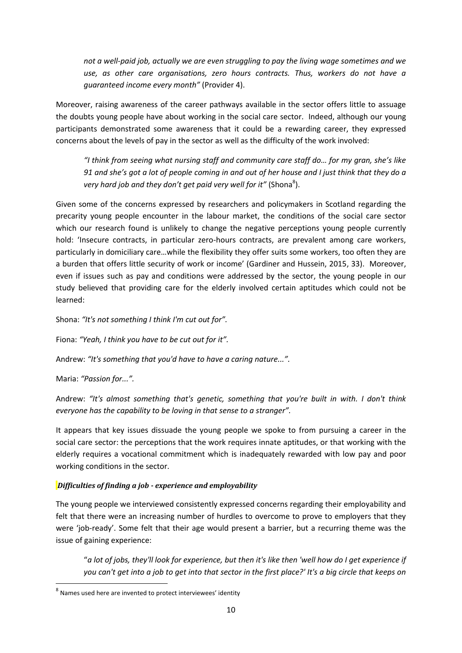*not a well-paid job, actually we are even struggling to pay the living wage sometimes and we use, as other care organisations, zero hours contracts. Thus, workers do not have a guaranteed income every month"* (Provider 4).

Moreover, raising awareness of the career pathways available in the sector offers little to assuage the doubts young people have about working in the social care sector. Indeed, although our young participants demonstrated some awareness that it could be a rewarding career, they expressed concerns about the levels of pay in the sector as well as the difficulty of the work involved:

*"I think from seeing what nursing staff and community care staff do… for my gran, she's like 91 and she's got a lot of people coming in and out of her house and I just think that they do a*  very hard job and they don't get paid very well for it" (Shona<sup>8</sup>).

Given some of the concerns expressed by researchers and policymakers in Scotland regarding the precarity young people encounter in the labour market, the conditions of the social care sector which our research found is unlikely to change the negative perceptions young people currently hold: 'Insecure contracts, in particular zero-hours contracts, are prevalent among care workers, particularly in domiciliary care…while the flexibility they offer suits some workers, too often they are a burden that offers little security of work or income' (Gardiner and Hussein, 2015, 33). Moreover, even if issues such as pay and conditions were addressed by the sector, the young people in our study believed that providing care for the elderly involved certain aptitudes which could not be learned:

Shona: *"It's not something I think I'm cut out for".*

Fiona: *"Yeah, I think you have to be cut out for it".*

Andrew: *"It's something that you'd have to have a caring nature...".*

Maria: *"Passion for...".*

**.** 

Andrew: *"It's almost something that's genetic, something that you're built in with. I don't think everyone has the capability to be loving in that sense to a stranger".*

It appears that key issues dissuade the young people we spoke to from pursuing a career in the social care sector: the perceptions that the work requires innate aptitudes, or that working with the elderly requires a vocational commitment which is inadequately rewarded with low pay and poor working conditions in the sector.

## *Difficulties of finding a job - experience and employability*

The young people we interviewed consistently expressed concerns regarding their employability and felt that there were an increasing number of hurdles to overcome to prove to employers that they were 'job-ready'. Some felt that their age would present a barrier, but a recurring theme was the issue of gaining experience:

"*a lot of jobs, they'll look for experience, but then it's like then 'well how do I get experience if you can't get into a job to get into that sector in the first place?' It's a big circle that keeps on* 

 $8$  Names used here are invented to protect interviewees' identity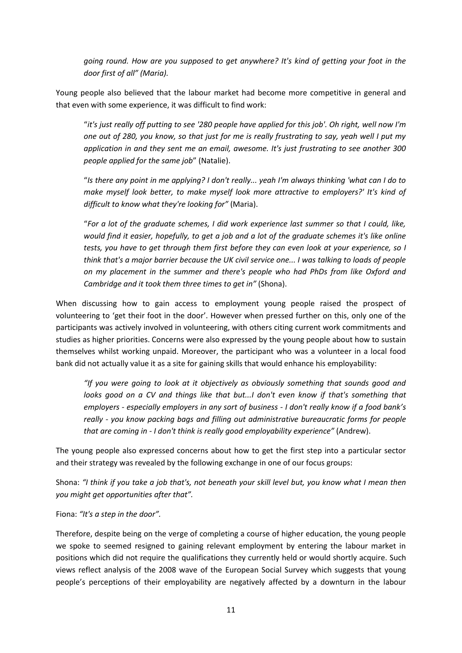*going round. How are you supposed to get anywhere? It's kind of getting your foot in the door first of all" (Maria).*

Young people also believed that the labour market had become more competitive in general and that even with some experience, it was difficult to find work:

"*it's just really off putting to see '280 people have applied for this job'. Oh right, well now I'm one out of 280, you know, so that just for me is really frustrating to say, yeah well I put my application in and they sent me an email, awesome. It's just frustrating to see another 300 people applied for the same job*" (Natalie).

"*Is there any point in me applying? I don't really... yeah I'm always thinking 'what can I do to make myself look better, to make myself look more attractive to employers?' It's kind of difficult to know what they're looking for"* (Maria).

"*For a lot of the graduate schemes, I did work experience last summer so that I could, like, would find it easier, hopefully, to get a job and a lot of the graduate schemes it's like online tests, you have to get through them first before they can even look at your experience, so I think that's a major barrier because the UK civil service one... I was talking to loads of people on my placement in the summer and there's people who had PhDs from like Oxford and Cambridge and it took them three times to get in"* (Shona).

When discussing how to gain access to employment young people raised the prospect of volunteering to 'get their foot in the door'. However when pressed further on this, only one of the participants was actively involved in volunteering, with others citing current work commitments and studies as higher priorities. Concerns were also expressed by the young people about how to sustain themselves whilst working unpaid. Moreover, the participant who was a volunteer in a local food bank did not actually value it as a site for gaining skills that would enhance his employability:

*"If you were going to look at it objectively as obviously something that sounds good and looks good on a CV and things like that but...I don't even know if that's something that employers - especially employers in any sort of business - I don't really know if a food bank's really - you know packing bags and filling out administrative bureaucratic forms for people that are coming in - I don't think is really good employability experience"* (Andrew).

The young people also expressed concerns about how to get the first step into a particular sector and their strategy was revealed by the following exchange in one of our focus groups:

Shona: *"I think if you take a job that's, not beneath your skill level but, you know what I mean then you might get opportunities after that".*

## Fiona: *"It's a step in the door".*

Therefore, despite being on the verge of completing a course of higher education, the young people we spoke to seemed resigned to gaining relevant employment by entering the labour market in positions which did not require the qualifications they currently held or would shortly acquire. Such views reflect analysis of the 2008 wave of the European Social Survey which suggests that young people's perceptions of their employability are negatively affected by a downturn in the labour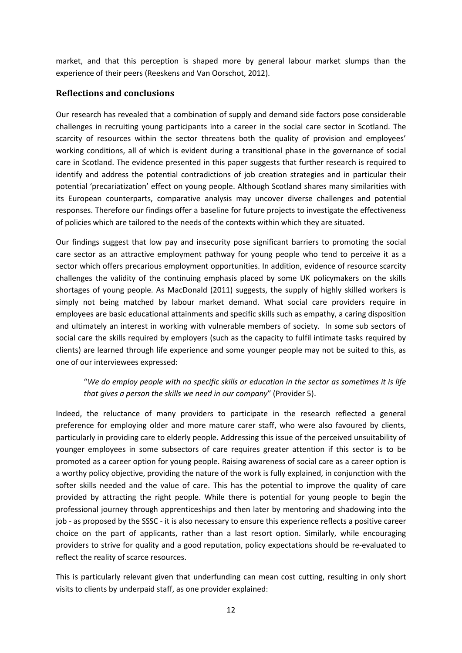market, and that this perception is shaped more by general labour market slumps than the experience of their peers (Reeskens and Van Oorschot, 2012).

# **Reflections and conclusions**

Our research has revealed that a combination of supply and demand side factors pose considerable challenges in recruiting young participants into a career in the social care sector in Scotland. The scarcity of resources within the sector threatens both the quality of provision and employees' working conditions, all of which is evident during a transitional phase in the governance of social care in Scotland. The evidence presented in this paper suggests that further research is required to identify and address the potential contradictions of job creation strategies and in particular their potential 'precariatization' effect on young people. Although Scotland shares many similarities with its European counterparts, comparative analysis may uncover diverse challenges and potential responses. Therefore our findings offer a baseline for future projects to investigate the effectiveness of policies which are tailored to the needs of the contexts within which they are situated.

Our findings suggest that low pay and insecurity pose significant barriers to promoting the social care sector as an attractive employment pathway for young people who tend to perceive it as a sector which offers precarious employment opportunities. In addition, evidence of resource scarcity challenges the validity of the continuing emphasis placed by some UK policymakers on the skills shortages of young people. As MacDonald (2011) suggests, the supply of highly skilled workers is simply not being matched by labour market demand. What social care providers require in employees are basic educational attainments and specific skills such as empathy, a caring disposition and ultimately an interest in working with vulnerable members of society. In some sub sectors of social care the skills required by employers (such as the capacity to fulfil intimate tasks required by clients) are learned through life experience and some younger people may not be suited to this, as one of our interviewees expressed:

# "*We do employ people with no specific skills or education in the sector as sometimes it is life that gives a person the skills we need in our company*" (Provider 5).

Indeed, the reluctance of many providers to participate in the research reflected a general preference for employing older and more mature carer staff, who were also favoured by clients, particularly in providing care to elderly people. Addressing this issue of the perceived unsuitability of younger employees in some subsectors of care requires greater attention if this sector is to be promoted as a career option for young people. Raising awareness of social care as a career option is a worthy policy objective, providing the nature of the work is fully explained, in conjunction with the softer skills needed and the value of care. This has the potential to improve the quality of care provided by attracting the right people. While there is potential for young people to begin the professional journey through apprenticeships and then later by mentoring and shadowing into the job - as proposed by the SSSC - it is also necessary to ensure this experience reflects a positive career choice on the part of applicants, rather than a last resort option. Similarly, while encouraging providers to strive for quality and a good reputation, policy expectations should be re-evaluated to reflect the reality of scarce resources.

This is particularly relevant given that underfunding can mean cost cutting, resulting in only short visits to clients by underpaid staff, as one provider explained: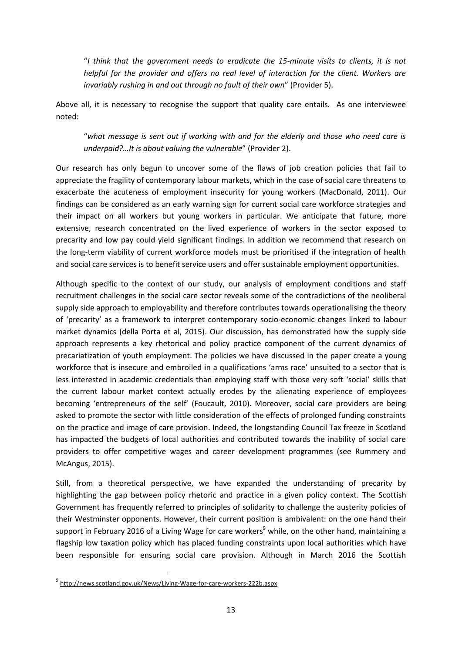"*I think that the government needs to eradicate the 15-minute visits to clients, it is not helpful for the provider and offers no real level of interaction for the client. Workers are invariably rushing in and out through no fault of their own*" (Provider 5).

Above all, it is necessary to recognise the support that quality care entails. As one interviewee noted:

"*what message is sent out if working with and for the elderly and those who need care is underpaid?…It is about valuing the vulnerable*" (Provider 2).

Our research has only begun to uncover some of the flaws of job creation policies that fail to appreciate the fragility of contemporary labour markets, which in the case of social care threatens to exacerbate the acuteness of employment insecurity for young workers (MacDonald, 2011). Our findings can be considered as an early warning sign for current social care workforce strategies and their impact on all workers but young workers in particular. We anticipate that future, more extensive, research concentrated on the lived experience of workers in the sector exposed to precarity and low pay could yield significant findings. In addition we recommend that research on the long-term viability of current workforce models must be prioritised if the integration of health and social care services is to benefit service users and offer sustainable employment opportunities.

Although specific to the context of our study, our analysis of employment conditions and staff recruitment challenges in the social care sector reveals some of the contradictions of the neoliberal supply side approach to employability and therefore contributes towards operationalising the theory of 'precarity' as a framework to interpret contemporary socio-economic changes linked to labour market dynamics (della Porta et al, 2015). Our discussion, has demonstrated how the supply side approach represents a key rhetorical and policy practice component of the current dynamics of precariatization of youth employment. The policies we have discussed in the paper create a young workforce that is insecure and embroiled in a qualifications 'arms race' unsuited to a sector that is less interested in academic credentials than employing staff with those very soft 'social' skills that the current labour market context actually erodes by the alienating experience of employees becoming 'entrepreneurs of the self' (Foucault, 2010). Moreover, social care providers are being asked to promote the sector with little consideration of the effects of prolonged funding constraints on the practice and image of care provision. Indeed, the longstanding Council Tax freeze in Scotland has impacted the budgets of local authorities and contributed towards the inability of social care providers to offer competitive wages and career development programmes (see Rummery and McAngus, 2015).

Still, from a theoretical perspective, we have expanded the understanding of precarity by highlighting the gap between policy rhetoric and practice in a given policy context. The Scottish Government has frequently referred to principles of solidarity to challenge the austerity policies of their Westminster opponents. However, their current position is ambivalent: on the one hand their support in February 2016 of a Living Wage for care workers<sup>9</sup> while, on the other hand, maintaining a flagship low taxation policy which has placed funding constraints upon local authorities which have been responsible for ensuring social care provision. Although in March 2016 the Scottish

<sup>&</sup>lt;sup>9</sup> <http://news.scotland.gov.uk/News/Living-Wage-for-care-workers-222b.aspx>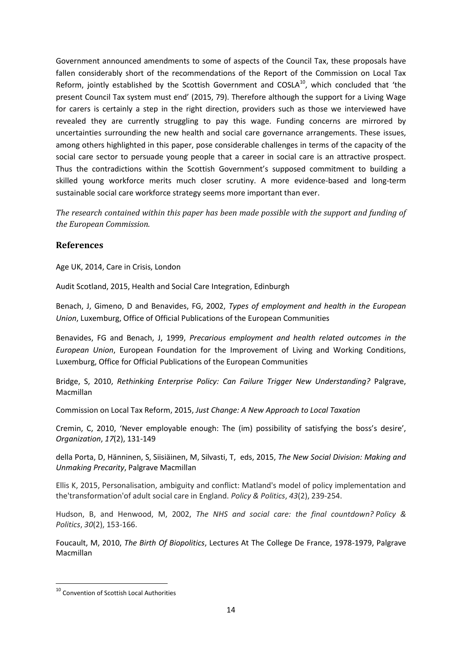Government announced amendments to some of aspects of the Council Tax, these proposals have fallen considerably short of the recommendations of the Report of the Commission on Local Tax Reform, jointly established by the Scottish Government and  $COSLA<sup>10</sup>$ , which concluded that 'the present Council Tax system must end' (2015, 79). Therefore although the support for a Living Wage for carers is certainly a step in the right direction, providers such as those we interviewed have revealed they are currently struggling to pay this wage. Funding concerns are mirrored by uncertainties surrounding the new health and social care governance arrangements. These issues, among others highlighted in this paper, pose considerable challenges in terms of the capacity of the social care sector to persuade young people that a career in social care is an attractive prospect. Thus the contradictions within the Scottish Government's supposed commitment to building a skilled young workforce merits much closer scrutiny. A more evidence-based and long-term sustainable social care workforce strategy seems more important than ever.

*The research contained within this paper has been made possible with the support and funding of the European Commission.*

# **References**

Age UK, 2014, Care in Crisis, London

Audit Scotland, 2015, Health and Social Care Integration, Edinburgh

Benach, J, Gimeno, D and Benavides, FG, 2002, *Types of employment and health in the European Union*, Luxemburg, Office of Official Publications of the European Communities

Benavides, FG and Benach, J, 1999, *Precarious employment and health related outcomes in the European Union*, European Foundation for the Improvement of Living and Working Conditions, Luxemburg, Office for Official Publications of the European Communities

Bridge, S, 2010, *Rethinking Enterprise Policy: Can Failure Trigger New Understanding?* Palgrave, Macmillan

Commission on Local Tax Reform, 2015, *Just Change: A New Approach to Local Taxation*

Cremin, C, 2010, 'Never employable enough: The (im) possibility of satisfying the boss's desire', *Organization*, *17*(2), 131-149

della Porta, D, [Hänninen,](http://www.amazon.com/s/ref=dp_byline_sr_book_2?ie=UTF8&text=Sakari+H%C3%A4nninen&search-alias=books&field-author=Sakari+H%C3%A4nninen&sort=relevancerank) S, [Siisiäinen,](http://www.amazon.com/s/ref=dp_byline_sr_book_3?ie=UTF8&text=Martti+Siisi%C3%A4inen&search-alias=books&field-author=Martti+Siisi%C3%A4inen&sort=relevancerank) M, [Silvasti,](http://www.amazon.com/s/ref=dp_byline_sr_book_4?ie=UTF8&text=Tiina+Silvasti&search-alias=books&field-author=Tiina+Silvasti&sort=relevancerank) T, eds, 2015, *The New Social Division: Making and Unmaking Precarity*, Palgrave Macmillan

Ellis K, 2015, Personalisation, ambiguity and conflict: Matland's model of policy implementation and the'transformation'of adult social care in England. *Policy & Politics*, *43*(2), 239-254.

Hudson, B, and Henwood, M, 2002, *The NHS and social care: the final countdown? Policy & Politics*, *30*(2), 153-166.

Foucault, M, 2010, *The Birth Of Biopolitics*, Lectures At The College De France, 1978-1979, Palgrave Macmillan

<sup>&</sup>lt;sup>10</sup> Convention of Scottish Local Authorities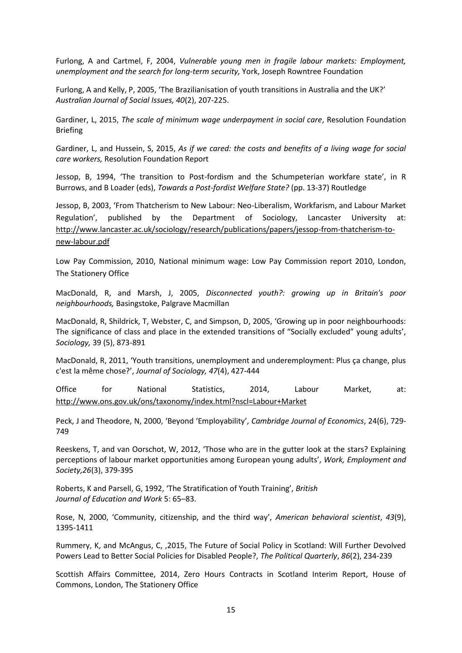Furlong, A and Cartmel, F, 2004, *Vulnerable young men in fragile labour markets: Employment, unemployment and the search for long-term security,* York, Joseph Rowntree Foundation

Furlong, A and Kelly, P, 2005, 'The Brazilianisation of youth transitions in Australia and the UK?' *Australian Journal of Social Issues, 40*(2), 207-225.

Gardiner, L, 2015, *The scale of minimum wage underpayment in social care*, Resolution Foundation Briefing

Gardiner, L, and Hussein, S, 2015, *As if we cared: the costs and benefits of a living wage for social care workers,* Resolution Foundation Report

Jessop, B, 1994, 'The transition to Post-fordism and the Schumpeterian workfare state', in R Burrows, and B Loader (eds), *Towards a Post-fordist Welfare State?* (pp. 13-37) Routledge

Jessop, B, 2003, 'From Thatcherism to New Labour: Neo-Liberalism, Workfarism, and Labour Market Regulation', published by the Department of Sociology, Lancaster University at: [http://www.lancaster.ac.uk/sociology/research/publications/papers/jessop-from-thatcherism-to](http://www.lancaster.ac.uk/sociology/research/publications/papers/jessop-from-thatcherism-to-new-labour.pdf)[new-labour.pdf](http://www.lancaster.ac.uk/sociology/research/publications/papers/jessop-from-thatcherism-to-new-labour.pdf)

Low Pay Commission, 2010, National minimum wage: Low Pay Commission report 2010, London, The Stationery Office

MacDonald, R, and Marsh, J, 2005, *Disconnected youth?: growing up in Britain's poor neighbourhoods,* Basingstoke, Palgrave Macmillan

MacDonald, R, Shildrick, T, Webster, C, and Simpson, D, 2005, 'Growing up in poor neighbourhoods: The significance of class and place in the extended transitions of "Socially excluded" young adults', *Sociology,* 39 (5), 873-891

MacDonald, R, 2011, 'Youth transitions, unemployment and underemployment: Plus ça change, plus c'est la même chose?', *Journal of Sociology, 47*(4), 427-444

Office for National Statistics, 2014, Labour Market, at: <http://www.ons.gov.uk/ons/taxonomy/index.html?nscl=Labour+Market>

Peck, J and Theodore, N, 2000, 'Beyond 'Employability', *Cambridge Journal of Economics*, 24(6), 729- 749

Reeskens, T, and van Oorschot, W, 2012, 'Those who are in the gutter look at the stars? Explaining perceptions of labour market opportunities among European young adults', *Work, Employment and Society,26*(3), 379-395

Roberts, K and Parsell, G, 1992, 'The Stratification of Youth Training', *British Journal of Education and Work* 5: 65–83.

Rose, N, 2000, 'Community, citizenship, and the third way', *American behavioral scientist*, *43*(9), 1395-1411

Rummery, K, and McAngus, C, ,2015, The Future of Social Policy in Scotland: Will Further Devolved Powers Lead to Better Social Policies for Disabled People?, *The Political Quarterly*, *86*(2), 234-239

Scottish Affairs Committee, 2014, Zero Hours Contracts in Scotland Interim Report, House of Commons, London, The Stationery Office